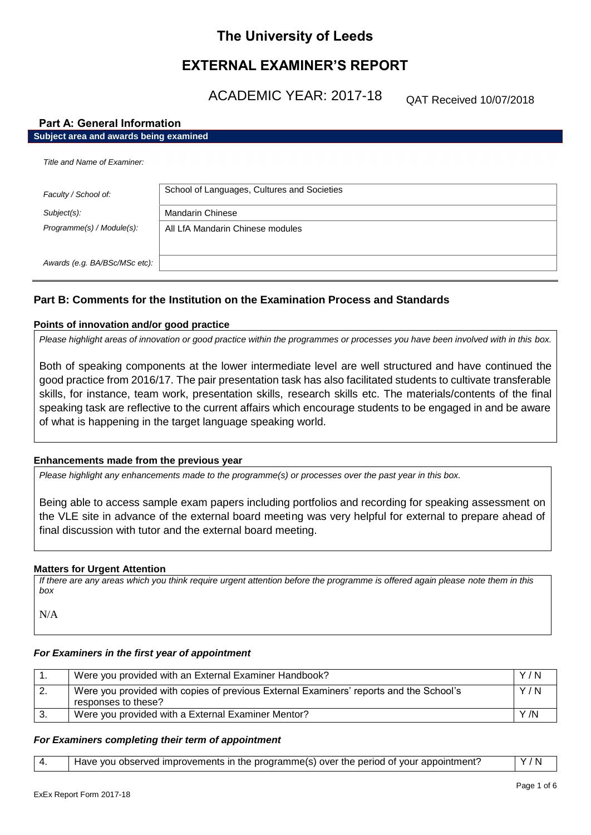# **The University of Leeds**

# **EXTERNAL EXAMINER'S REPORT**

ACADEMIC YEAR: 2017-18

QAT Received 10/07/2018

# **Part A: General Information**

| Part A: General Information |  |  |  |  |                                        |  |
|-----------------------------|--|--|--|--|----------------------------------------|--|
|                             |  |  |  |  | Subject area and awards being examined |  |

| Title and Name of Examiner:   |                                             |  |  |  |
|-------------------------------|---------------------------------------------|--|--|--|
| Faculty / School of:          | School of Languages, Cultures and Societies |  |  |  |
| Subject(s):                   | <b>Mandarin Chinese</b>                     |  |  |  |
| Programme(s) / Module(s):     | All LfA Mandarin Chinese modules            |  |  |  |
|                               |                                             |  |  |  |
| Awards (e.g. BA/BSc/MSc etc): |                                             |  |  |  |

# **Part B: Comments for the Institution on the Examination Process and Standards**

# **Points of innovation and/or good practice**

*Please highlight areas of innovation or good practice within the programmes or processes you have been involved with in this box.*

Both of speaking components at the lower intermediate level are well structured and have continued the good practice from 2016/17. The pair presentation task has also facilitated students to cultivate transferable skills, for instance, team work, presentation skills, research skills etc. The materials/contents of the final speaking task are reflective to the current affairs which encourage students to be engaged in and be aware of what is happening in the target language speaking world.

# **Enhancements made from the previous year**

*Please highlight any enhancements made to the programme(s) or processes over the past year in this box.*

Being able to access sample exam papers including portfolios and recording for speaking assessment on the VLE site in advance of the external board meeting was very helpful for external to prepare ahead of final discussion with tutor and the external board meeting.

## **Matters for Urgent Attention**

*If there are any areas which you think require urgent attention before the programme is offered again please note them in this box*

N/A

# *For Examiners in the first year of appointment*

| Were you provided with an External Examiner Handbook?                                                         | Y/N |
|---------------------------------------------------------------------------------------------------------------|-----|
| Were you provided with copies of previous External Examiners' reports and the School's<br>responses to these? | Y/N |
| Were you provided with a External Examiner Mentor?                                                            | Y/N |

## *For Examiners completing their term of appointment*

|  | Have you observed improvements in the programme(s) over the period of your appointment? | Y/N |
|--|-----------------------------------------------------------------------------------------|-----|
|--|-----------------------------------------------------------------------------------------|-----|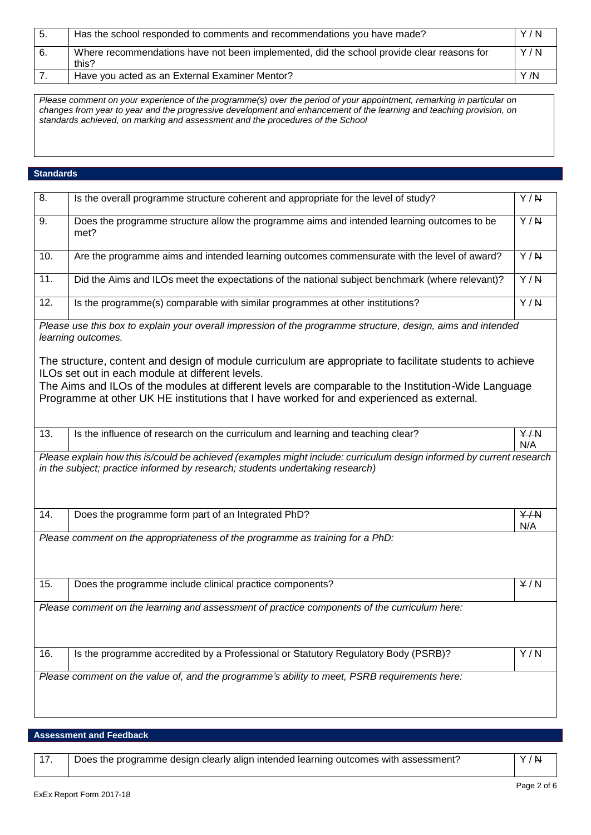| -5. | Has the school responded to comments and recommendations you have made?                            | Y/N  |
|-----|----------------------------------------------------------------------------------------------------|------|
| -6. | Where recommendations have not been implemented, did the school provide clear reasons for<br>this? | Y/N  |
|     | Have you acted as an External Examiner Mentor?                                                     | Y /N |

*Please comment on your experience of the programme(s) over the period of your appointment, remarking in particular on changes from year to year and the progressive development and enhancement of the learning and teaching provision, on standards achieved, on marking and assessment and the procedures of the School*

# **Standards**

| 8.                                                                                           | Is the overall programme structure coherent and appropriate for the level of study?                                                                                                                   | $\overline{Y/R}$ |
|----------------------------------------------------------------------------------------------|-------------------------------------------------------------------------------------------------------------------------------------------------------------------------------------------------------|------------------|
| 9.                                                                                           | Does the programme structure allow the programme aims and intended learning outcomes to be<br>met?                                                                                                    | $\overline{Y/R}$ |
| 10.                                                                                          | Are the programme aims and intended learning outcomes commensurate with the level of award?                                                                                                           | $\overline{Y/N}$ |
| 11.                                                                                          | Did the Aims and ILOs meet the expectations of the national subject benchmark (where relevant)?                                                                                                       | $\overline{Y/R}$ |
| 12.                                                                                          | Is the programme(s) comparable with similar programmes at other institutions?                                                                                                                         | Y/N              |
|                                                                                              | Please use this box to explain your overall impression of the programme structure, design, aims and intended<br>learning outcomes.                                                                    |                  |
|                                                                                              | The structure, content and design of module curriculum are appropriate to facilitate students to achieve<br>ILOs set out in each module at different levels.                                          |                  |
|                                                                                              | The Aims and ILOs of the modules at different levels are comparable to the Institution-Wide Language<br>Programme at other UK HE institutions that I have worked for and experienced as external.     |                  |
| 13.                                                                                          | Is the influence of research on the curriculum and learning and teaching clear?                                                                                                                       | Y/N<br>N/A       |
|                                                                                              | Please explain how this is/could be achieved (examples might include: curriculum design informed by current research<br>in the subject; practice informed by research; students undertaking research) |                  |
| 14.                                                                                          | Does the programme form part of an Integrated PhD?                                                                                                                                                    | Y/N<br>N/A       |
|                                                                                              | Please comment on the appropriateness of the programme as training for a PhD:                                                                                                                         |                  |
| 15.                                                                                          | Does the programme include clinical practice components?                                                                                                                                              | Y/N              |
| Please comment on the learning and assessment of practice components of the curriculum here: |                                                                                                                                                                                                       |                  |
|                                                                                              |                                                                                                                                                                                                       |                  |
| 16.                                                                                          | Is the programme accredited by a Professional or Statutory Regulatory Body (PSRB)?                                                                                                                    | Y/N              |

# **Assessment and Feedback**

17. | Does the programme design clearly align intended learning outcomes with assessment? | Y/N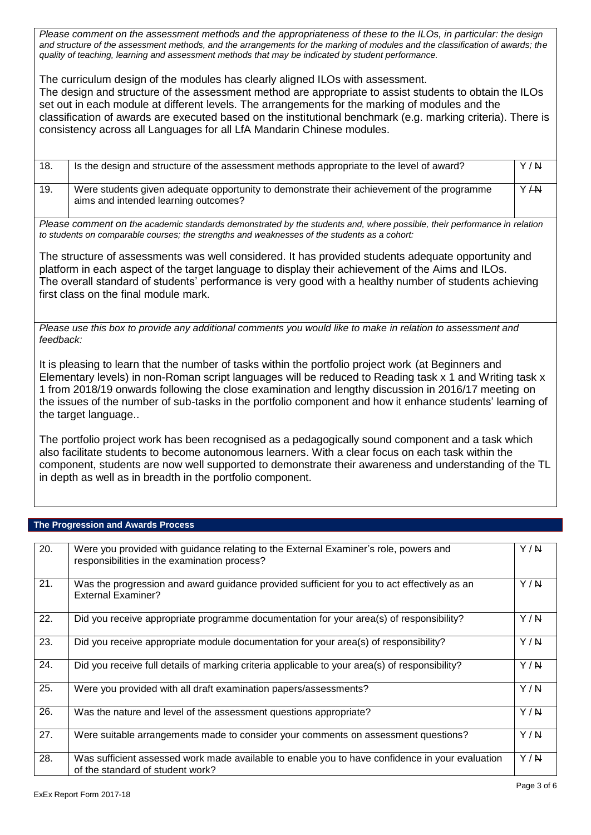*Please comment on the assessment methods and the appropriateness of these to the ILOs, in particular: the design and structure of the assessment methods, and the arrangements for the marking of modules and the classification of awards; the quality of teaching, learning and assessment methods that may be indicated by student performance.*

The curriculum design of the modules has clearly aligned ILOs with assessment. The design and structure of the assessment method are appropriate to assist students to obtain the ILOs set out in each module at different levels. The arrangements for the marking of modules and the classification of awards are executed based on the institutional benchmark (e.g. marking criteria). There is consistency across all Languages for all LfA Mandarin Chinese modules.

| 18. | Is the design and structure of the assessment methods appropriate to the level of award?                                           | Y/N  |
|-----|------------------------------------------------------------------------------------------------------------------------------------|------|
| 19. | Were students given adequate opportunity to demonstrate their achievement of the programme<br>aims and intended learning outcomes? | Y/AY |

*Please comment on the academic standards demonstrated by the students and, where possible, their performance in relation to students on comparable courses; the strengths and weaknesses of the students as a cohort:*

The structure of assessments was well considered. It has provided students adequate opportunity and platform in each aspect of the target language to display their achievement of the Aims and ILOs. The overall standard of students' performance is very good with a healthy number of students achieving first class on the final module mark.

*Please use this box to provide any additional comments you would like to make in relation to assessment and feedback:*

It is pleasing to learn that the number of tasks within the portfolio project work (at Beginners and Elementary levels) in non-Roman script languages will be reduced to Reading task x 1 and Writing task x 1 from 2018/19 onwards following the close examination and lengthy discussion in 2016/17 meeting on the issues of the number of sub-tasks in the portfolio component and how it enhance students' learning of the target language..

The portfolio project work has been recognised as a pedagogically sound component and a task which also facilitate students to become autonomous learners. With a clear focus on each task within the component, students are now well supported to demonstrate their awareness and understanding of the TL in depth as well as in breadth in the portfolio component.

## **The Progression and Awards Process**

| 20. | Were you provided with guidance relating to the External Examiner's role, powers and<br>responsibilities in the examination process? | Y/N |
|-----|--------------------------------------------------------------------------------------------------------------------------------------|-----|
| 21. | Was the progression and award guidance provided sufficient for you to act effectively as an<br><b>External Examiner?</b>             | Y/N |
| 22. | Did you receive appropriate programme documentation for your area(s) of responsibility?                                              | Y/N |
| 23. | Did you receive appropriate module documentation for your area(s) of responsibility?                                                 | Y/N |
| 24. | Did you receive full details of marking criteria applicable to your area(s) of responsibility?                                       | Y/N |
| 25. | Were you provided with all draft examination papers/assessments?                                                                     | Y/N |
| 26. | Was the nature and level of the assessment questions appropriate?                                                                    | Y/N |
| 27. | Were suitable arrangements made to consider your comments on assessment questions?                                                   | Y/N |
| 28. | Was sufficient assessed work made available to enable you to have confidence in your evaluation<br>of the standard of student work?  | Y/N |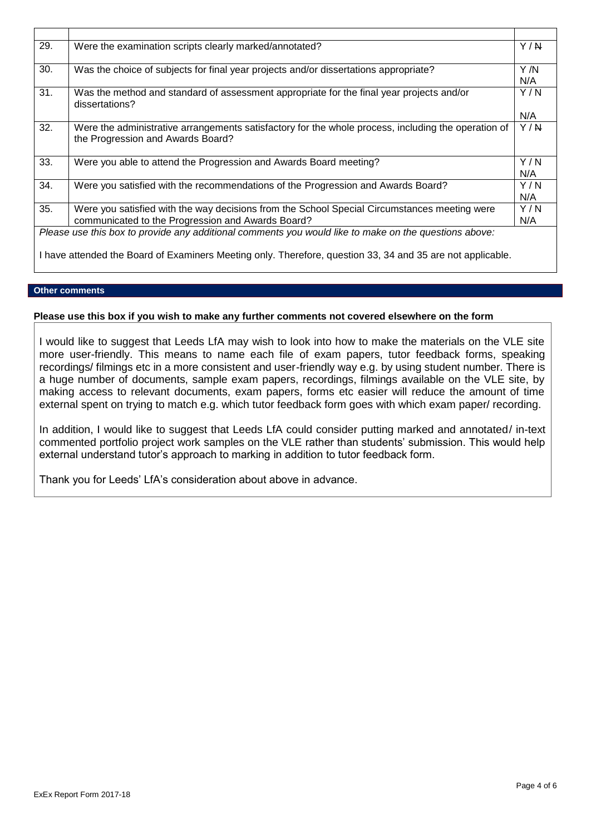| 29. | Were the examination scripts clearly marked/annotated?                                                                                                                                                              | Y/N         |
|-----|---------------------------------------------------------------------------------------------------------------------------------------------------------------------------------------------------------------------|-------------|
| 30. | Was the choice of subjects for final year projects and/or dissertations appropriate?                                                                                                                                | Y /N<br>N/A |
| 31. | Was the method and standard of assessment appropriate for the final year projects and/or<br>dissertations?                                                                                                          | Y/N<br>N/A  |
| 32. | Were the administrative arrangements satisfactory for the whole process, including the operation of<br>the Progression and Awards Board?                                                                            | Y/N         |
| 33. | Were you able to attend the Progression and Awards Board meeting?                                                                                                                                                   | Y/N<br>N/A  |
| 34. | Were you satisfied with the recommendations of the Progression and Awards Board?                                                                                                                                    | Y/N<br>N/A  |
| 35. | Were you satisfied with the way decisions from the School Special Circumstances meeting were<br>communicated to the Progression and Awards Board?                                                                   | Y/N<br>N/A  |
|     | Please use this box to provide any additional comments you would like to make on the questions above:<br>I have attended the Board of Examiners Meeting only. Therefore, question 33, 34 and 35 are not applicable. |             |

# **Other comments**

# **Please use this box if you wish to make any further comments not covered elsewhere on the form**

I would like to suggest that Leeds LfA may wish to look into how to make the materials on the VLE site more user-friendly. This means to name each file of exam papers, tutor feedback forms, speaking recordings/ filmings etc in a more consistent and user-friendly way e.g. by using student number. There is a huge number of documents, sample exam papers, recordings, filmings available on the VLE site, by making access to relevant documents, exam papers, forms etc easier will reduce the amount of time external spent on trying to match e.g. which tutor feedback form goes with which exam paper/ recording.

In addition, I would like to suggest that Leeds LfA could consider putting marked and annotated/ in-text commented portfolio project work samples on the VLE rather than students' submission. This would help external understand tutor's approach to marking in addition to tutor feedback form.

Thank you for Leeds' LfA's consideration about above in advance.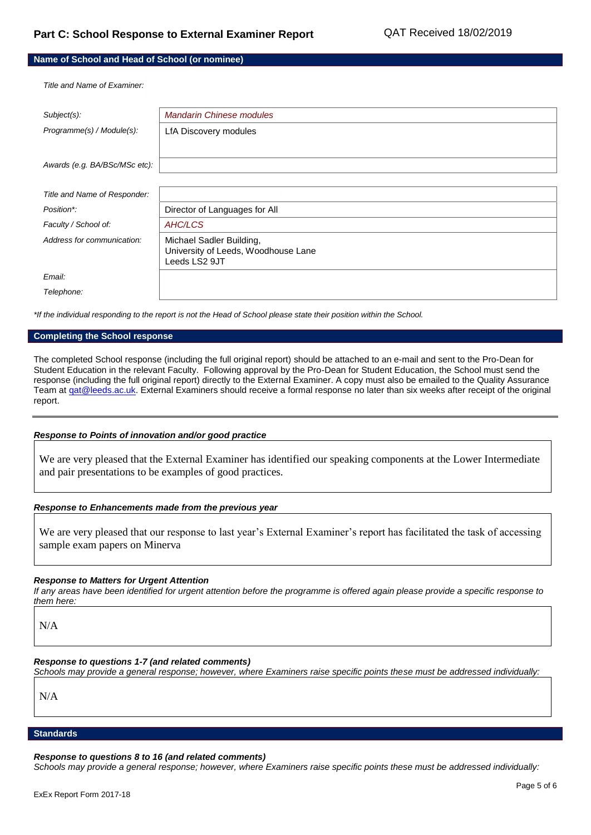| Name of School and Head of School (or nominee) |                                                                                  |  |  |
|------------------------------------------------|----------------------------------------------------------------------------------|--|--|
| Title and Name of Examiner.                    |                                                                                  |  |  |
| Subject(s):                                    | <b>Mandarin Chinese modules</b>                                                  |  |  |
| Programme(s) / Module(s):                      | LfA Discovery modules                                                            |  |  |
| Awards (e.g. BA/BSc/MSc etc):                  |                                                                                  |  |  |
| Title and Name of Responder:                   |                                                                                  |  |  |
| Position*:                                     | Director of Languages for All                                                    |  |  |
| Faculty / School of:                           | AHC/LCS                                                                          |  |  |
| Address for communication:                     | Michael Sadler Building,<br>University of Leeds, Woodhouse Lane<br>Leeds LS2 9JT |  |  |
| Email:                                         |                                                                                  |  |  |
| Telephone:                                     |                                                                                  |  |  |

*\*If the individual responding to the report is not the Head of School please state their position within the School.*

#### **Completing the School response**

The completed School response (including the full original report) should be attached to an e-mail and sent to the Pro-Dean for Student Education in the relevant Faculty. Following approval by the Pro-Dean for Student Education, the School must send the response (including the full original report) directly to the External Examiner. A copy must also be emailed to the Quality Assurance Team at gat@leeds.ac.uk. External Examiners should receive a formal response no later than six weeks after receipt of the original report.

#### *Response to Points of innovation and/or good practice*

We are very pleased that the External Examiner has identified our speaking components at the Lower Intermediate and pair presentations to be examples of good practices.

### *Response to Enhancements made from the previous year*

We are very pleased that our response to last year's External Examiner's report has facilitated the task of accessing sample exam papers on Minerva

#### *Response to Matters for Urgent Attention*

*If any areas have been identified for urgent attention before the programme is offered again please provide a specific response to them here:*

N/A

#### *Response to questions 1-7 (and related comments)*

*Schools may provide a general response; however, where Examiners raise specific points these must be addressed individually:*

N/A

# **Standards**

#### *Response to questions 8 to 16 (and related comments)*

*Schools may provide a general response; however, where Examiners raise specific points these must be addressed individually:*